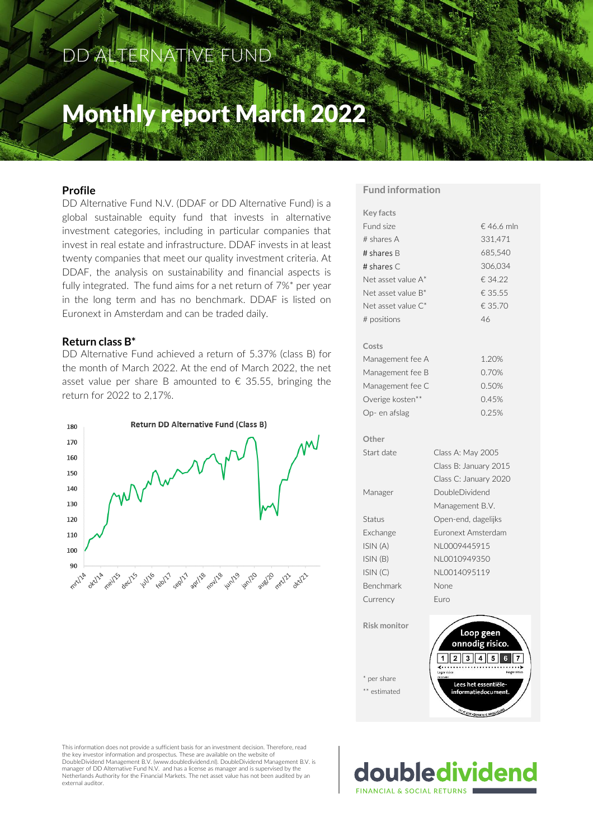# DD ALTERNATIVE FUND

# Monthly report March 2022

# **Profile**

DD Alternative Fund N.V. (DDAF or DD Alternative Fund) is a global sustainable equity fund that invests in alternative investment categories, including in particular companies that invest in real estate and infrastructure. DDAF invests in at least twenty companies that meet our quality investment criteria. At DDAF, the analysis on sustainability and financial aspects is fully integrated. The fund aims for a net return of 7%\* per year in the long term and has no benchmark. DDAF is listed on Euronext in Amsterdam and can be traded daily.

#### **Return class B\***

DD Alternative Fund achieved a return of 5.37% (class B) for the month of March 2022. At the end of March 2022, the net asset value per share B amounted to  $\epsilon$  35.55, bringing the return for 2022 to 2,17%.



#### **Fund information**

| <b>Key facts</b>    |                              |  |  |  |  |
|---------------------|------------------------------|--|--|--|--|
| Fund size           | € 46.6 mln                   |  |  |  |  |
| # shares A          | 331.471                      |  |  |  |  |
| # shares B          | 685,540                      |  |  |  |  |
| # shares C          | 306,034                      |  |  |  |  |
| Net asset value A*  | € 34.22                      |  |  |  |  |
| Net asset value B*  | € 35.55                      |  |  |  |  |
| Net asset value C*  | € 35.70                      |  |  |  |  |
| # positions         | 46                           |  |  |  |  |
| Costs               |                              |  |  |  |  |
| Management fee A    | 1.20%                        |  |  |  |  |
| Management fee B    | 0.70%                        |  |  |  |  |
| Management fee C    | 0.50%                        |  |  |  |  |
| Overige kosten**    | 0.45%                        |  |  |  |  |
| Op- en afslag       | 0.25%                        |  |  |  |  |
| Other               |                              |  |  |  |  |
| Start date          | Class A: May 2005            |  |  |  |  |
|                     | Class B: January 2015        |  |  |  |  |
|                     | Class C: January 2020        |  |  |  |  |
| Manager             | <b>DoubleDividend</b>        |  |  |  |  |
|                     | Management B.V.              |  |  |  |  |
| Status              | Open-end, dagelijks          |  |  |  |  |
| Exchange            | Euronext Amsterdam           |  |  |  |  |
| ISIN (A)            | NL0009445915                 |  |  |  |  |
| ISIN(B)             | NL0010949350                 |  |  |  |  |
| ISIN(C)             | NL0014095119                 |  |  |  |  |
| Benchmark           | None                         |  |  |  |  |
| Currency            | Euro                         |  |  |  |  |
| <b>Risk monitor</b> | Loop geen<br>onnodig risico. |  |  |  |  |
| ner share           |                              |  |  |  |  |

This information does not provide a sufficient basis for an investment decision. Therefore, read the key investor information and prospectus. These are available on the website of DoubleDividend Management B.V. (www.doubledividend.nl). DoubleDividend Management B.V. is manager of DD Alternative Fund N.V. and has a license as manager and is supervised by the Netherlands Authority for the Financial Markets. The net asset value has not been audited by an external auditor.

doubledividend FINANCIAL & SOCIAL RETURNS

ees het essentiële

\*\* estimated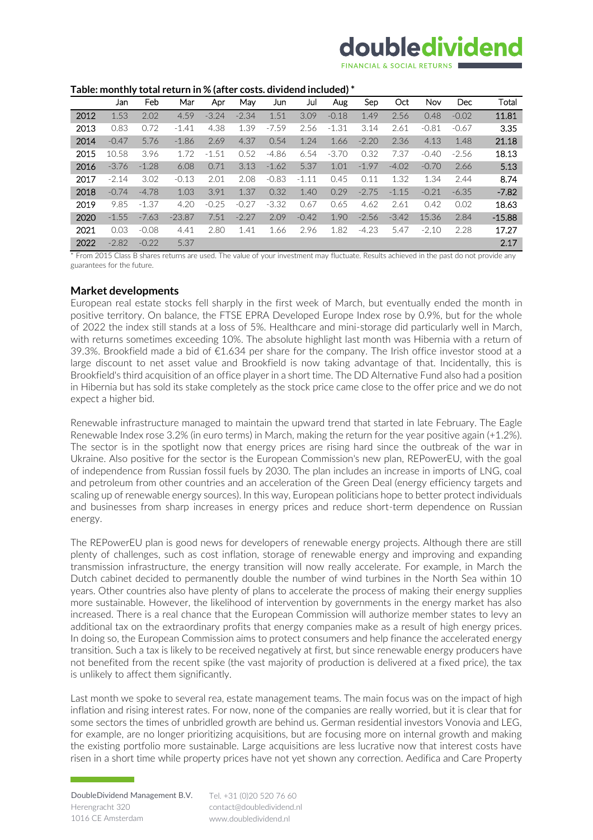# doubledividend

#### **Table: monthly total return in % (after costs. dividend included) \***

|      | Jan     | Feb     | Mar      | Apr     | May     | Jun     | Jul     | Aug     | Sep     | Oct     | <b>Nov</b> | Dec     | Total    |
|------|---------|---------|----------|---------|---------|---------|---------|---------|---------|---------|------------|---------|----------|
| 2012 | 1.53    | 2.02    | 4.59     | $-3.24$ | $-2.34$ | 1.51    | 3.09    | $-0.18$ | 1.49    | 2.56    | 0.48       | $-0.02$ | 11.81    |
| 2013 | 0.83    | 0.72    | $-1.41$  | 4.38    | 1.39    | $-7.59$ | 2.56    | $-1.31$ | 3.14    | 2.61    | $-0.81$    | $-0.67$ | 3.35     |
| 2014 | $-0.47$ | 5.76    | $-1.86$  | 2.69    | 4.37    | 0.54    | 1.24    | 1.66    | $-2.20$ | 2.36    | 4.13       | 1.48    | 21.18    |
| 2015 | 10.58   | 3.96    | 1.72     | $-1.51$ | 0.52    | $-4.86$ | 6.54    | $-3.70$ | 0.32    | 7.37    | $-0.40$    | $-2.56$ | 18.13    |
| 2016 | $-3.76$ | $-1.28$ | 6.08     | 0.71    | 3.13    | $-1.62$ | 5.37    | 1.01    | $-1.97$ | $-4.02$ | $-0.70$    | 2.66    | 5.13     |
| 2017 | $-2.14$ | 3.02    | $-0.13$  | 2.01    | 2.08    | $-0.83$ | $-1.11$ | 0.45    | 0.11    | 1.32    | 1.34       | 2.44    | 8.74     |
| 2018 | $-0.74$ | $-4.78$ | 1.03     | 3.91    | 1.37    | 0.32    | 1.40    | 0.29    | $-2.75$ | $-1.15$ | $-0.21$    | $-6.35$ | $-7.82$  |
| 2019 | 9.85    | $-1.37$ | 4.20     | $-0.25$ | $-0.27$ | $-3.32$ | 0.67    | 0.65    | 4.62    | 2.61    | 0.42       | 0.02    | 18.63    |
| 2020 | $-1.55$ | $-7.63$ | $-23.87$ | 7.51    | $-2.27$ | 2.09    | $-0.42$ | 1.90    | $-2.56$ | $-3.42$ | 15.36      | 2.84    | $-15.88$ |
| 2021 | 0.03    | $-0.08$ | 4.41     | 2.80    | 1.41    | 1.66    | 2.96    | 1.82    | $-4.23$ | 5.47    | $-2.10$    | 2.28    | 17.27    |
| 2022 | $-2.82$ | $-0.22$ | 5.37     |         |         |         |         |         |         |         |            |         | 2.17     |

\* From 2015 Class B shares returns are used. The value of your investment may fluctuate. Results achieved in the past do not provide any guarantees for the future.

### **Market developments**

European real estate stocks fell sharply in the first week of March, but eventually ended the month in positive territory. On balance, the FTSE EPRA Developed Europe Index rose by 0.9%, but for the whole of 2022 the index still stands at a loss of 5%. Healthcare and mini-storage did particularly well in March, with returns sometimes exceeding 10%. The absolute highlight last month was Hibernia with a return of 39.3%. Brookfield made a bid of €1.634 per share for the company. The Irish office investor stood at a large discount to net asset value and Brookfield is now taking advantage of that. Incidentally, this is Brookfield's third acquisition of an office player in a short time. The DD Alternative Fund also had a position in Hibernia but has sold its stake completely as the stock price came close to the offer price and we do not expect a higher bid.

Renewable infrastructure managed to maintain the upward trend that started in late February. The Eagle Renewable Index rose 3.2% (in euro terms) in March, making the return for the year positive again (+1.2%). The sector is in the spotlight now that energy prices are rising hard since the outbreak of the war in Ukraine. Also positive for the sector is the European Commission's new plan, REPowerEU, with the goal of independence from Russian fossil fuels by 2030. The plan includes an increase in imports of LNG, coal and petroleum from other countries and an acceleration of the Green Deal (energy efficiency targets and scaling up of renewable energy sources). In this way, European politicians hope to better protect individuals and businesses from sharp increases in energy prices and reduce short-term dependence on Russian energy.

The REPowerEU plan is good news for developers of renewable energy projects. Although there are still plenty of challenges, such as cost inflation, storage of renewable energy and improving and expanding transmission infrastructure, the energy transition will now really accelerate. For example, in March the Dutch cabinet decided to permanently double the number of wind turbines in the North Sea within 10 years. Other countries also have plenty of plans to accelerate the process of making their energy supplies more sustainable. However, the likelihood of intervention by governments in the energy market has also increased. There is a real chance that the European Commission will authorize member states to levy an additional tax on the extraordinary profits that energy companies make as a result of high energy prices. In doing so, the European Commission aims to protect consumers and help finance the accelerated energy transition. Such a tax is likely to be received negatively at first, but since renewable energy producers have not benefited from the recent spike (the vast majority of production is delivered at a fixed price), the tax is unlikely to affect them significantly.

Last month we spoke to several rea, estate management teams. The main focus was on the impact of high inflation and rising interest rates. For now, none of the companies are really worried, but it is clear that for some sectors the times of unbridled growth are behind us. German residential investors Vonovia and LEG, for example, are no longer prioritizing acquisitions, but are focusing more on internal growth and making the existing portfolio more sustainable. Large acquisitions are less lucrative now that interest costs have risen in a short time while property prices have not yet shown any correction. Aedifica and Care Property

Tel. +31 (0)20 520 76 60 contact@doubledividend.nl www.doubledividend.nl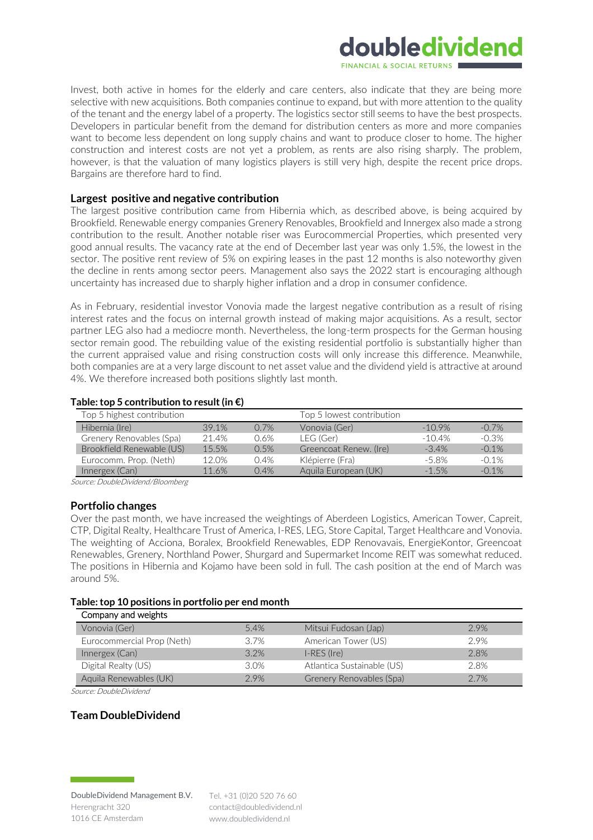

Invest, both active in homes for the elderly and care centers, also indicate that they are being more selective with new acquisitions. Both companies continue to expand, but with more attention to the quality of the tenant and the energy label of a property. The logistics sector still seems to have the best prospects. Developers in particular benefit from the demand for distribution centers as more and more companies want to become less dependent on long supply chains and want to produce closer to home. The higher construction and interest costs are not yet a problem, as rents are also rising sharply. The problem, however, is that the valuation of many logistics players is still very high, despite the recent price drops. Bargains are therefore hard to find.

# **Largest positive and negative contribution**

The largest positive contribution came from Hibernia which, as described above, is being acquired by Brookfield. Renewable energy companies Grenery Renovables, Brookfield and Innergex also made a strong contribution to the result. Another notable riser was Eurocommercial Properties, which presented very good annual results. The vacancy rate at the end of December last year was only 1.5%, the lowest in the sector. The positive rent review of 5% on expiring leases in the past 12 months is also noteworthy given the decline in rents among sector peers. Management also says the 2022 start is encouraging although uncertainty has increased due to sharply higher inflation and a drop in consumer confidence.

As in February, residential investor Vonovia made the largest negative contribution as a result of rising interest rates and the focus on internal growth instead of making major acquisitions. As a result, sector partner LEG also had a mediocre month. Nevertheless, the long-term prospects for the German housing sector remain good. The rebuilding value of the existing residential portfolio is substantially higher than the current appraised value and rising construction costs will only increase this difference. Meanwhile, both companies are at a very large discount to net asset value and the dividend yield is attractive at around 4%. We therefore increased both positions slightly last month.

### **Table: top 5 contribution to result (in €)**

| Top 5 highest contribution |       |      | Top 5 lowest contribution |           |          |
|----------------------------|-------|------|---------------------------|-----------|----------|
| Hibernia (Ire)             | 39.1% | 0.7% | Vonovia (Ger)             | $-10.9\%$ | $-0.7%$  |
| Grenery Renovables (Spa)   | 21.4% | 0.6% | LEG (Ger)                 | $-10.4%$  | $-0.3\%$ |
| Brookfield Renewable (US)  | 15.5% | 0.5% | Greencoat Renew. (Ire)    | $-3.4%$   | $-0.1%$  |
| Eurocomm. Prop. (Neth)     | 12.0% | 0.4% | Klépierre (Fra)           | $-5.8\%$  | $-0.1%$  |
| Innergex (Can)             | 11.6% | 0.4% | Aquila European (UK)      | $-1.5%$   | $-0.1%$  |

Source: DoubleDividend/Bloomberg

#### **Portfolio changes**

Over the past month, we have increased the weightings of Aberdeen Logistics, American Tower, Capreit, CTP, Digital Realty, Healthcare Trust of America, I-RES, LEG, Store Capital, Target Healthcare and Vonovia. The weighting of Acciona, Boralex, Brookfield Renewables, EDP Renovavais, EnergieKontor, Greencoat Renewables, Grenery, Northland Power, Shurgard and Supermarket Income REIT was somewhat reduced. The positions in Hibernia and Kojamo have been sold in full. The cash position at the end of March was around 5%.

#### **Table: top 10 positions in portfolio per end month**

| Company and weights        |         |                            |      |
|----------------------------|---------|----------------------------|------|
| Vonovia (Ger)              | 5.4%    | Mitsui Fudosan (Jap)       | 2.9% |
| Eurocommercial Prop (Neth) | $3.7\%$ | American Tower (US)        | 2.9% |
| Innergex (Can)             | 3.2%    | $I-RES$ (Ire)              | 2.8% |
| Digital Realty (US)        | 3.0%    | Atlantica Sustainable (US) | 2.8% |
| Aquila Renewables (UK)     | 2.9%    | Grenery Renovables (Spa)   | 2.7% |

Source: DoubleDividend

# **Team DoubleDividend**

Tel. +31 (0)20 520 76 60 contact@doubledividend.nl www.doubledividend.nl